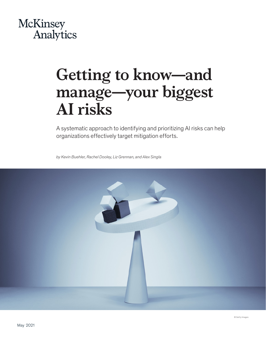# McKinsey Analytics

# **Getting to know—and manage—your biggest AI risks**

A systematic approach to identifying and prioritizing AI risks can help organizations effectively target mitigation efforts.

*by Kevin Buehler, Rachel Dooley, Liz Grennan, and Alex Singla*

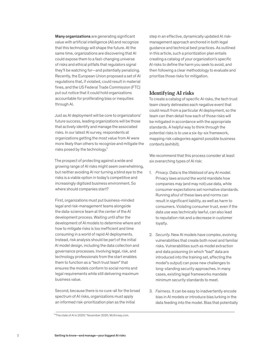Many organizations are generating significant value with artificial intelligence (AI) and recognize that this technology will shape the future. At the same time, organizations are discovering that AI could expose them to a fast-changing universe of risks and ethical pitfalls that regulators signal they'll be watching for—and potentially penalizing. Recently, the European Union proposed a set of AI regulations that, if violated, could result in material fines, and the US Federal Trade Commission (FTC) put out notice that it could hold organizations accountable for proliferating bias or inequities through AI.

Just as AI deployment will be core to organizations' future success, leading organizations will be those that actively identify and manage the associated risks. In our latest AI survey, respondents at organizations getting the most value from AI were more likely than others to recognize and mitigate the risks posed by the technology. $1$ 

The prospect of protecting against a wide and growing range of AI risks might seem overwhelming, but neither avoiding AI nor turning a blind eye to the risks is a viable option in today's competitive and increasingly digitized business environment. So where should companies start?

First, organizations must put business-minded legal and risk-management teams alongside the data-science team at the center of the AI development process. Waiting until after the development of AI models to determine where and how to mitigate risks is too inefficient and time consuming in a world of rapid AI deployments. Instead, risk analysis should be part of the initial AI model design, including the data collection and governance processes. Involving legal, risk, and technology professionals from the start enables them to function as a "tech trust team" that ensures the models conform to social norms and legal requirements while still delivering maximum business value.

Second, because there is no cure-all for the broad spectrum of AI risks, organizations must apply an informed risk-prioritization plan as the initial

step in an effective, dynamically updated AI riskmanagement approach anchored in both legal guidance and technical best practices. As outlined in this article, such a prioritization plan entails creating a catalog of your organization's specific AI risks to define the harm you seek to avoid, and then following a clear methodology to evaluate and prioritize those risks for mitigation.

## **Identifying AI risks**

To create a catalog of specific AI risks, the tech trust team clearly delineates each negative event that could result from a particular AI deployment, so the team can then detail how each of those risks will be mitigated in accordance with the appropriate standards. A helpful way to think through the potential risks is to use a six-by-six framework, mapping risk categories against possible business contexts (exhibit).

We recommend that this process consider at least six overarching types of AI risk:

- 1. *Privacy.* Data is the lifeblood of any AI model. Privacy laws around the world mandate how companies may (and may not) use data, while consumer expectations set normative standards. Running afoul of these laws and norms can result in significant liability, as well as harm to consumers. Violating consumer trust, even if the data use was technically lawful, can also lead to reputation risk and a decrease in customer loyalty.
- 2. *Security*. New AI models have complex, evolving vulnerabilities that create both novel and familiar risks. Vulnerabilities such as model extraction and data poisoning (in which "bad" data are introduced into the training set, affecting the model's output) can pose new challenges to long-standing security approaches. In many cases, existing legal frameworks mandate minimum security standards to meet.
- 3. *Fairness.* It can be easy to inadvertently encode bias in AI models or introduce bias lurking in the data feeding into the model. Bias that potentially

<sup>&</sup>lt;sup>1</sup> The state of AI in 2020," November 2020, McKinsey.com.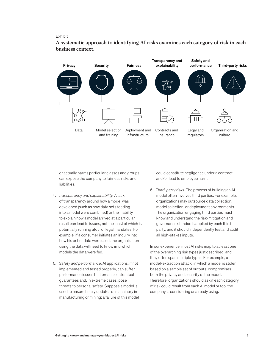#### Exhibit

**A systematic approach to identifying AI risks examines each category of risk in each**  A systematic approach to identifying AI risks examines each category of risk in business context.



or actually harms particular classes and groups can expose the company to fairness risks and liabilities.

- 4. *Transparency and explainability.* A lack of transparency around how a model was developed (such as how data sets feeding into a model were combined) or the inability to explain how a model arrived at a particular result can lead to issues, not the least of which is potentially running afoul of legal mandates. For example, if a consumer initiates an inquiry into how his or her data were used, the organization using the data will need to know into which models the data were fed.
- 5. *Safety and performance*. AI applications, if not implemented and tested properly, can suffer performance issues that breach contractual guarantees and, in extreme cases, pose threats to personal safety. Suppose a model is used to ensure timely updates of machinery in manufacturing or mining; a failure of this model

could constitute negligence under a contract and/or lead to employee harm.

6. *Third-party risks.* The process of building an AI model often involves third parties. For example, organizations may outsource data collection, model selection, or deployment environments. The organization engaging third parties must know and understand the risk-mitigation and governance standards applied by each third party, and it should independently test and audit all high-stakes inputs.

In our experience, most AI risks map to at least one of the overarching risk types just described, and they often span multiple types. For example, a model-extraction attack, in which a model is stolen based on a sample set of outputs, compromises both the privacy and security of the model. Therefore, organizations should ask if each category of risk could result from each AI model or tool the company is considering or already using.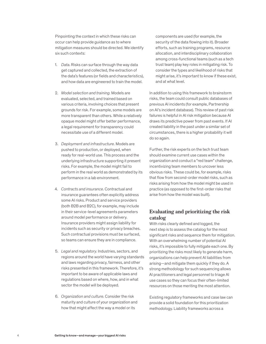Pinpointing the context in which these risks can occur can help provide guidance as to where mitigation measures should be directed. We identify six such contexts:

- 1. *Data*. Risks can surface through the way data get captured and collected, the extraction of the data's features (or fields and characteristics), and how data are engineered to train the model.
- 2. *Model selection and training.* Models are evaluated, selected, and trained based on various criteria, involving choices that present grounds for risk. For example, some models are more transparent than others. While a relatively opaque model might offer better performance, a legal requirement for transparency could necessitate use of a different model.
- 3. *Deployment and infrastructure.* Models are pushed to production, or deployed, when ready for real-world use. This process and the underlying infrastructure supporting it present risks. For example, the model might fail to perform in the real world as demonstrated by its performance in a lab environment.
- 4. *Contracts and insurance*. Contractual and insurance guarantees often explicitly address some AI risks. Product and service providers (both B2B and B2C), for example, may include in their service-level agreements parameters around model performance or delivery. Insurance providers might assign liability for incidents such as security or privacy breaches. Such contractual provisions must be surfaced, so teams can ensure they are in compliance.
- 5. *Legal and regulatory.* Industries, sectors, and regions around the world have varying standards and laws regarding privacy, fairness, and other risks presented in this framework. Therefore, it's important to be aware of applicable laws and regulations based on where, how, and in what sector the model will be deployed.
- 6. *Organization and culture.* Consider the risk maturity and culture of your organization and how that might affect the way a model or its

components are used (for example, the security of the data flowing into it). Broader efforts, such as training programs, resource allocation, and interdisciplinary collaboration among cross-functional teams (such as a tech trust team) play key roles in mitigating risk. To consider the types and likelihood of risks that might arise, it's important to know if these exist, and at what level.

In addition to using this framework to brainstorm risks, the team could consult public databases of previous AI incidents (for example, Partnership on AI's incident database). This review of past risk failures is helpful in AI risk mitigation because AI draws its predictive power from past events. If AI created liability in the past under a similar set of circumstances, there is a higher probability it will do so again.

Further, the risk experts on the tech trust team should examine current use cases within the organization and conduct a "red team" challenge, incentivizing team members to uncover less obvious risks. These could be, for example, risks that flow from second-order model risks, such as risks arising from how the model might be used in practice (as opposed to the first-order risks that arise from how the model was built).

# **Evaluating and prioritizing the risk catalog**

With risks clearly defined and logged, the next step is to assess the catalog for the most significant risks and sequence them for mitigation. With an overwhelming number of potential AI risks, it's impossible to fully mitigate each one. By prioritizing the risks most likely to generate harm, organizations can help prevent AI liabilities from arising—and mitigate them quickly if they do. A strong methodology for such sequencing allows AI practitioners and legal personnel to triage AI use cases so they can focus their often-limited resources on those meriting the most attention.

Existing regulatory frameworks and case law can provide a solid foundation for this prioritization methodology. Liability frameworks across a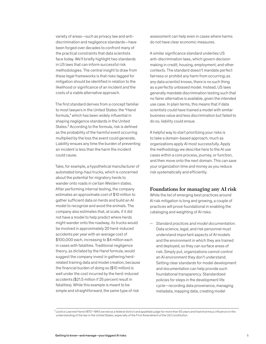variety of areas—such as privacy law and antidiscrimination and negligence standards—have been forged over decades to confront many of the practical constraints that data scientists face today. We'll briefly highlight two standards in US laws that can inform successful risk methodologies. The central insight to draw from these legal frameworks is that risks tagged for mitigation should be identified in relation to the likelihood or significance of an incident *and* the costs of a viable alternative approach.

The first standard derives from a concept familiar to most lawyers in the United States: the "Hand formula," which has been widely influential in shaping negligence standards in the United States.<sup>2</sup> According to the formula, risk is defined as the probability of the harmful event occurring multiplied by the loss the event could generate. Liability ensues any time the burden of preventing an incident is less than the harm the incident could cause.

Take, for example, a hypothetical manufacturer of automated long-haul trucks, which is concerned about the potential for migratory herds to wander onto roads in certain Western states. After performing internal testing, the company estimates an approximate cost of \$10 million to gather sufficient data on herds and build an AI model to recognize and avoid the animals. The company also estimates that, at scale, if it did not have a model to help predict where herds might wander onto the roadway, its trucks would be involved in approximately 20 herd-induced accidents per year with an average cost of \$100,000 each, increasing to \$4 million each in cases with fatalities. Traditional negligence theory, as dictated by the Hand formula, would suggest the company invest in gathering herdrelated training data and model creation, because the financial burden of doing so (\$10 million) is well under the cost incurred by the herd-induced accidents (\$21.5 million if 25 percent result in fatalities). While this example is meant to be simple and straightforward, the same type of risk

assessment can help even in cases where harms do not have clear economic measures.

A similar significance standard underlies US anti-discrimination laws, which govern decision making in credit, housing, employment, and other contexts. The standard doesn't mandate perfect fairness or prohibit any harm from occurring; as any data scientist knows, there is no such thing as a perfectly unbiased model. Instead, US laws generally mandate discrimination testing such that no fairer alternative is available, given the intended use case. In plain terms, this means that if data scientists could have trained a model with similar business value and less discrimination but failed to do so, liability could ensue.

A helpful way to start prioritizing your risks is to take a domain-based approach, much as organizations apply AI most successfully. Apply the methodology we describe here to the AI use cases within a core process, journey, or function, and then move onto the next domain. This can save your organization time and money as you reduce risk systematically and efficiently.

## **Foundations for managing any AI risk**

While the list of emerging best practices around AI risk mitigation is long and growing, a couple of practices will prove foundational in enabling the cataloging and weighting of AI risks:

— *Standard practices and model documentation.*  Data science, legal, and risk personnel must understand important aspects of AI models and the environment in which they are trained and deployed, so they can surface areas of risk. Simply put, organizations cannot control an AI environment they don't understand. Setting clear standards for model development and documentation can help provide such foundational transparency. Standardized policies for steps in the development life cycle—recording data provenance, managing metadata, mapping data, creating model

 $^2$ Justice Learned Hand (1872–1961) served as a federal district and appellate judge for more than 50 years and had enormous influence on the understanding of the law in the United States, especially of the First Amendment of the US Constitution.